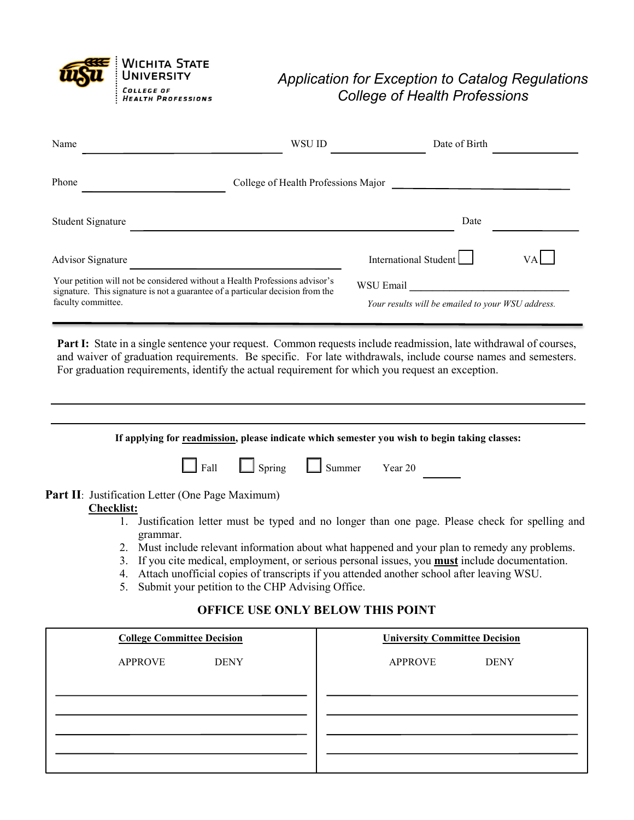

## *Application for Exception to Catalog Regulations College of Health Professions*

| Name                                                                                                                                                                                | WSU ID                              | Date of Birth                                                  |     |
|-------------------------------------------------------------------------------------------------------------------------------------------------------------------------------------|-------------------------------------|----------------------------------------------------------------|-----|
| Phone                                                                                                                                                                               | College of Health Professions Major |                                                                |     |
| Student Signature                                                                                                                                                                   |                                     | Date                                                           |     |
| <b>Advisor Signature</b>                                                                                                                                                            |                                     | International Student                                          | VAI |
| Your petition will not be considered without a Health Professions advisor's<br>signature. This signature is not a guarantee of a particular decision from the<br>faculty committee. |                                     | WSU Email<br>Your results will be emailed to your WSU address. |     |

Part I: State in a single sentence your request. Common requests include readmission, late withdrawal of courses, and waiver of graduation requirements. Be specific. For late withdrawals, include course names and semesters. For graduation requirements, identify the actual requirement for which you request an exception.

| If applying for readmission, please indicate which semester you wish to begin taking classes:             |
|-----------------------------------------------------------------------------------------------------------|
| $\Box$ Spring<br>$\Box$ Summer<br>Fall<br>Year 20                                                         |
| <b>Part II</b> : Justification Letter (One Page Maximum)                                                  |
| <b>Checklist:</b>                                                                                         |
| Justification letter must be typed and no longer than one page. Please check for spelling and             |
| grammar.                                                                                                  |
| Must include relevant information about what happened and your plan to remedy any problems.               |
| If you cite medical, employment, or serious personal issues, you <b>must</b> include documentation.<br>3. |
|                                                                                                           |
| Attach unofficial copies of transcripts if you attended another school after leaving WSU.                 |

5. Submit your petition to the CHP Advising Office.

## **OFFICE USE ONLY BELOW THIS POINT**

| <b>College Committee Decision</b> | <b>University Committee Decision</b> |  |
|-----------------------------------|--------------------------------------|--|
| <b>APPROVE</b><br><b>DENY</b>     | <b>APPROVE</b><br><b>DENY</b>        |  |
|                                   |                                      |  |
|                                   |                                      |  |
|                                   |                                      |  |
|                                   |                                      |  |